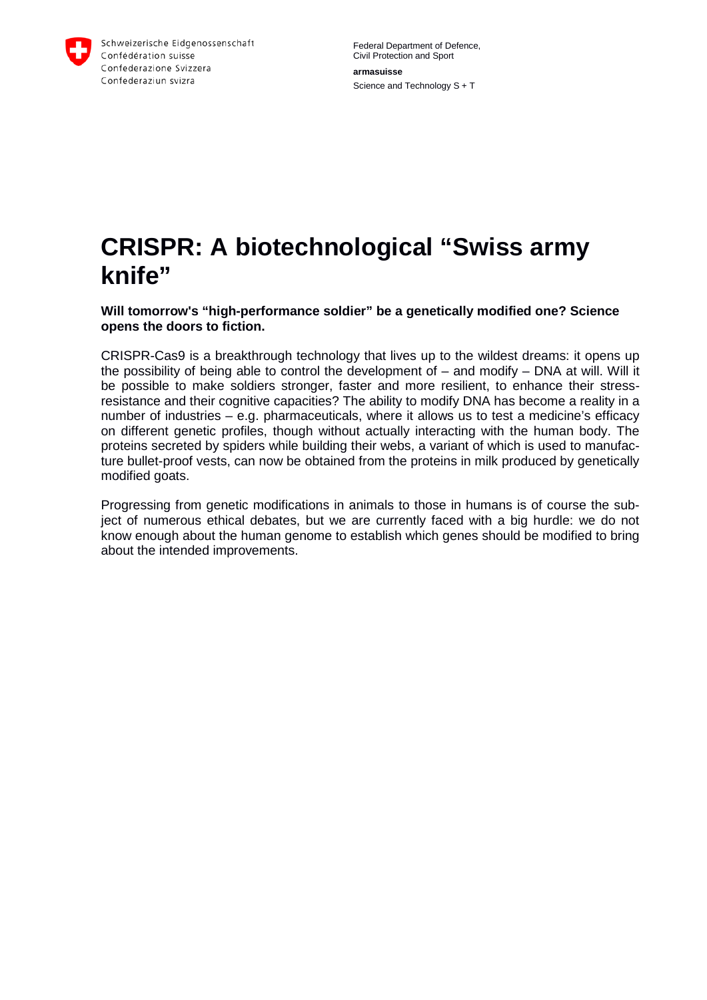

Schweizerische Eidgenossenschaft Confédération suisse Confederazione Svizzera Confederaziun svizra

Federal Department of Defence, Civil Protection and Sport **armasuisse** Science and Technology S + T

## **CRISPR: A biotechnological "Swiss army knife"**

**Will tomorrow's "high-performance soldier" be a genetically modified one? Science opens the doors to fiction.**

CRISPR-Cas9 is a breakthrough technology that lives up to the wildest dreams: it opens up the possibility of being able to control the development of – and modify – DNA at will. Will it be possible to make soldiers stronger, faster and more resilient, to enhance their stressresistance and their cognitive capacities? The ability to modify DNA has become a reality in a number of industries – e.g. pharmaceuticals, where it allows us to test a medicine's efficacy on different genetic profiles, though without actually interacting with the human body. The proteins secreted by spiders while building their webs, a variant of which is used to manufacture bullet-proof vests, can now be obtained from the proteins in milk produced by genetically modified goats.

Progressing from genetic modifications in animals to those in humans is of course the subject of numerous ethical debates, but we are currently faced with a big hurdle: we do not know enough about the human genome to establish which genes should be modified to bring about the intended improvements.